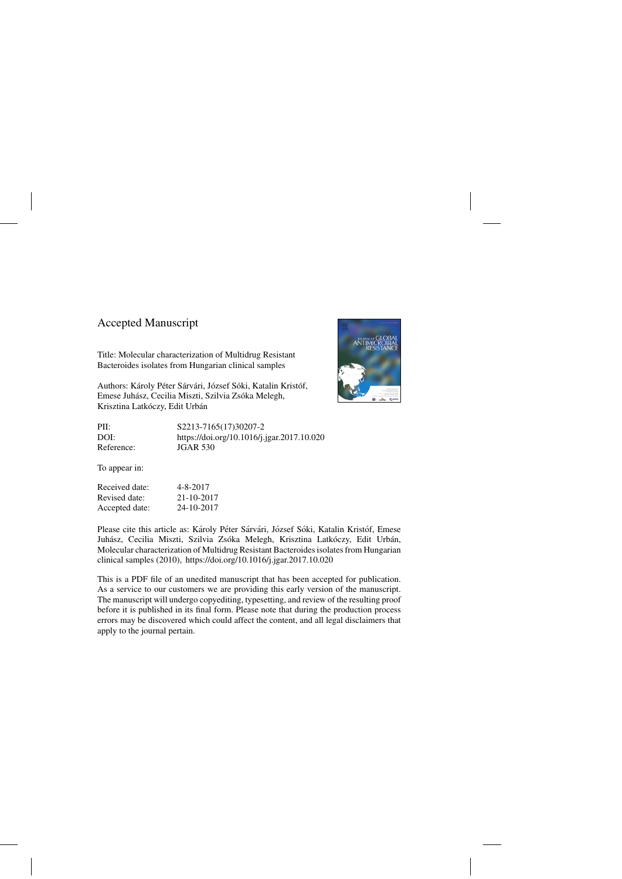### Accepted Manuscript

Title: Molecular characterization of Multidrug Resistant Bacteroides isolates from Hungarian clinical samples

Authors: Károly Péter Sárvári, József Sóki, Katalin Kristóf, Emese Juhász, Cecilia Miszti, Szilvia Zsóka Melegh, Krisztina Latkóczy, Edit Urbán



Reference: JGAR 530

PII: S2213-7165(17)30207-2 DOI:<https://doi.org/10.1016/j.jgar.2017.10.020>

To appear in:

| Received date: | 4-8-2017   |
|----------------|------------|
| Revised date:  | 21-10-2017 |
| Accepted date: | 24-10-2017 |

Please cite this article as: Károly Péter Sárvári, József Sóki, Katalin Kristóf, Emese Juhász, Cecilia Miszti, Szilvia Zsóka Melegh, Krisztina Latkóczy, Edit Urbán, Molecular characterization of Multidrug Resistant Bacteroides isolates from Hungarian clinical samples (2010),<https://doi.org/10.1016/j.jgar.2017.10.020>

This is a PDF file of an unedited manuscript that has been accepted for publication. As a service to our customers we are providing this early version of the manuscript. The manuscript will undergo copyediting, typesetting, and review of the resulting proof before it is published in its final form. Please note that during the production process errors may be discovered which could affect the content, and all legal disclaimers that apply to the journal pertain.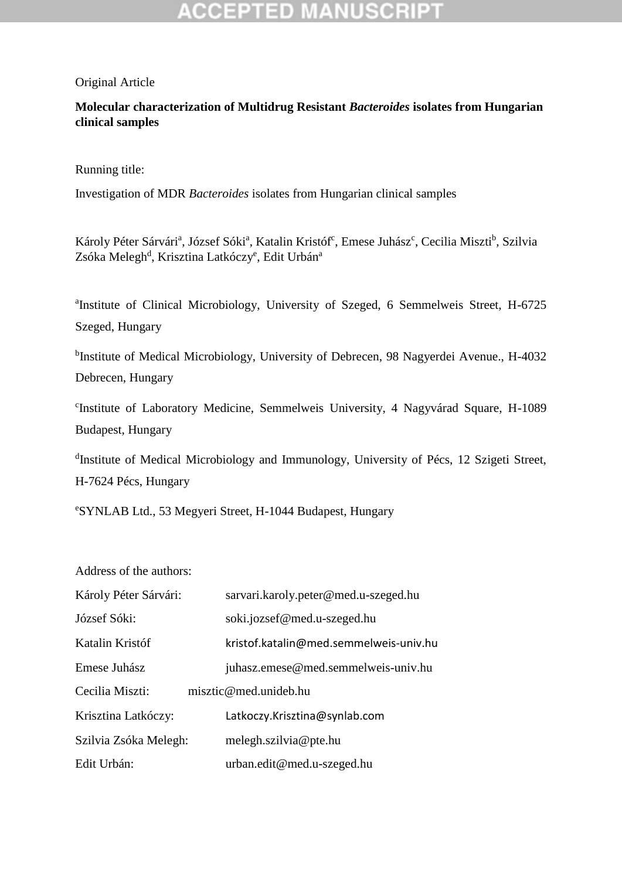# CCEPTED

### Original Article

**Molecular characterization of Multidrug Resistant** *Bacteroides* **isolates from Hungarian clinical samples**

Running title:

Investigation of MDR *Bacteroides* isolates from Hungarian clinical samples

Károly Péter Sárvári<sup>a</sup>, József Sóki<sup>a</sup>, Katalin Kristóf<sup>c</sup>, Emese Juhász<sup>c</sup>, Cecilia Miszti<sup>b</sup>, Szilvia Zsóka Melegh<sup>d</sup>, Krisztina Latkóczy<sup>e</sup>, Edit Urbán<sup>a</sup>

<sup>a</sup>Institute of Clinical Microbiology, University of Szeged, 6 Semmelweis Street, H-6725 Szeged, Hungary

<sup>b</sup>Institute of Medical Microbiology, University of Debrecen, 98 Nagyerdei Avenue., H-4032 Debrecen, Hungary

c Institute of Laboratory Medicine, Semmelweis University, 4 Nagyvárad Square, H-1089 Budapest, Hungary

<sup>d</sup>Institute of Medical Microbiology and Immunology, University of Pécs, 12 Szigeti Street, H-7624 Pécs, Hungary

<sup>e</sup>SYNLAB Ltd., 53 Megyeri Street, H-1044 Budapest, Hungary

Address of the authors:

| Károly Péter Sárvári: | sarvari.karoly.peter@med.u-szeged.hu   |
|-----------------------|----------------------------------------|
| József Sóki:          | soki.jozsef@med.u-szeged.hu            |
| Katalin Kristóf       | kristof.katalin@med.semmelweis-univ.hu |
| Emese Juhász          | juhasz.emese@med.semmelweis-univ.hu    |
| Cecilia Miszti:       | misztic@med.unideb.hu                  |
| Krisztina Latkóczy:   | Latkoczy.Krisztina@synlab.com          |
| Szilvia Zsóka Melegh: | melegh.szilvia@pte.hu                  |
| Edit Urbán:           | urban.edit@med.u-szeged.hu             |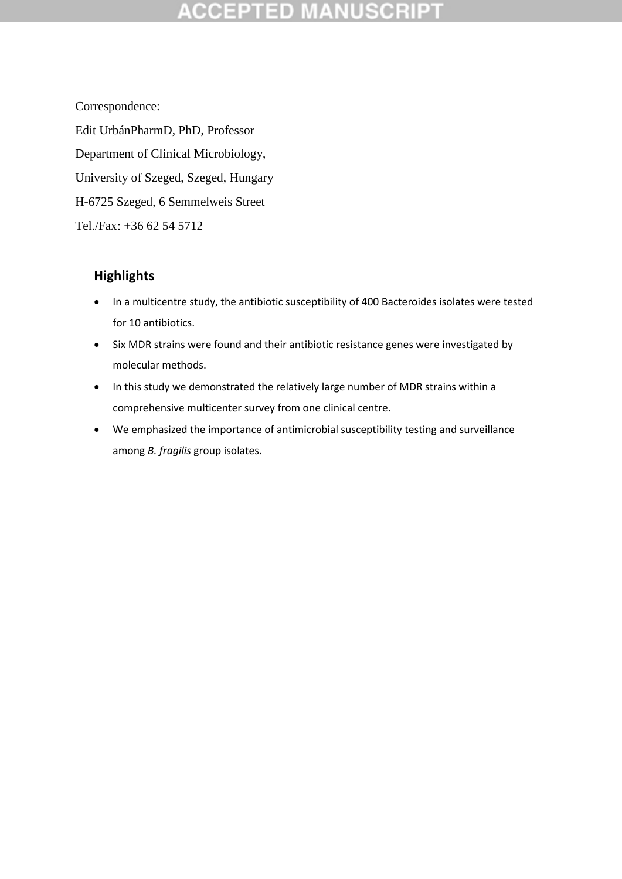Correspondence: Edit UrbánPharmD, PhD, Professor Department of Clinical Microbiology, University of Szeged, Szeged, Hungary H-6725 Szeged, 6 Semmelweis Street Tel./Fax: +36 62 54 5712

### **Highlights**

- In a multicentre study, the antibiotic susceptibility of 400 Bacteroides isolates were tested for 10 antibiotics.
- Six MDR strains were found and their antibiotic resistance genes were investigated by molecular methods.
- In this study we demonstrated the relatively large number of MDR strains within a comprehensive multicenter survey from one clinical centre.
- We emphasized the importance of antimicrobial susceptibility testing and surveillance among *B. fragilis* group isolates.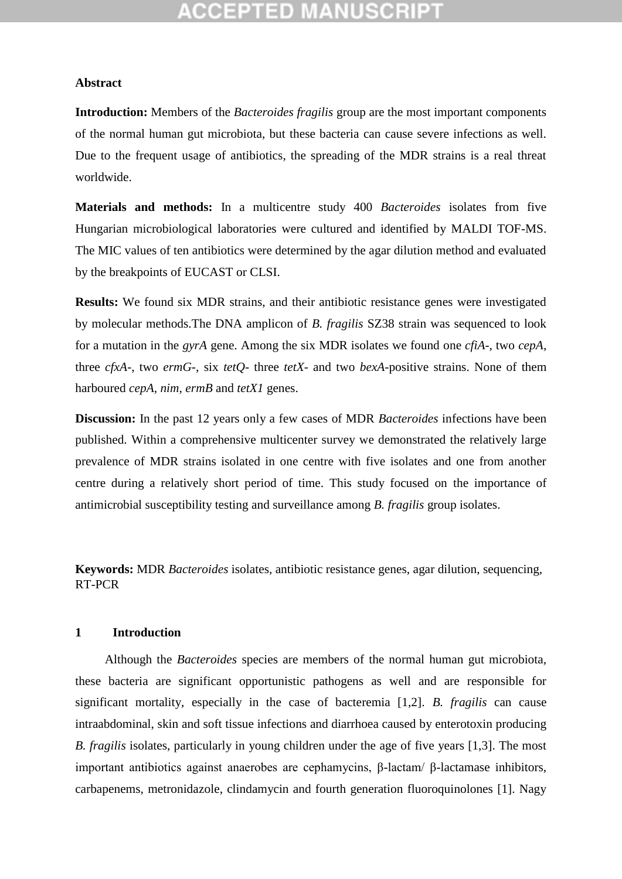## GEPTED

#### **Abstract**

**Introduction:** Members of the *Bacteroides fragilis* group are the most important components of the normal human gut microbiota, but these bacteria can cause severe infections as well. Due to the frequent usage of antibiotics, the spreading of the MDR strains is a real threat worldwide.

**Materials and methods:** In a multicentre study 400 *Bacteroides* isolates from five Hungarian microbiological laboratories were cultured and identified by MALDI TOF-MS. The MIC values of ten antibiotics were determined by the agar dilution method and evaluated by the breakpoints of EUCAST or CLSI.

**Results:** We found six MDR strains, and their antibiotic resistance genes were investigated by molecular methods.The DNA amplicon of *B. fragilis* SZ38 strain was sequenced to look for a mutation in the *gyrA* gene. Among the six MDR isolates we found one *cfiA-*, two *cepA*, three *cfxA-*, two *ermG-*, six *tetQ-* three *tetX-* and two *bexA*-positive strains. None of them harboured *cepA, nim, ermB* and *tetX1* genes.

**Discussion:** In the past 12 years only a few cases of MDR *Bacteroides* infections have been published. Within a comprehensive multicenter survey we demonstrated the relatively large prevalence of MDR strains isolated in one centre with five isolates and one from another centre during a relatively short period of time. This study focused on the importance of antimicrobial susceptibility testing and surveillance among *B. fragilis* group isolates.

**Keywords:** MDR *Bacteroides* isolates*,* antibiotic resistance genes, agar dilution, sequencing, RT-PCR

#### **1 Introduction**

Although the *Bacteroides* species are members of the normal human gut microbiota, these bacteria are significant opportunistic pathogens as well and are responsible for significant mortality, especially in the case of bacteremia [1,2]. *B. fragilis* can cause intraabdominal, skin and soft tissue infections and diarrhoea caused by enterotoxin producing *B. fragilis* isolates, particularly in young children under the age of five years [1,3]. The most important antibiotics against anaerobes are cephamycins, β-lactam/ β-lactamase inhibitors, carbapenems, metronidazole, clindamycin and fourth generation fluoroquinolones [1]. Nagy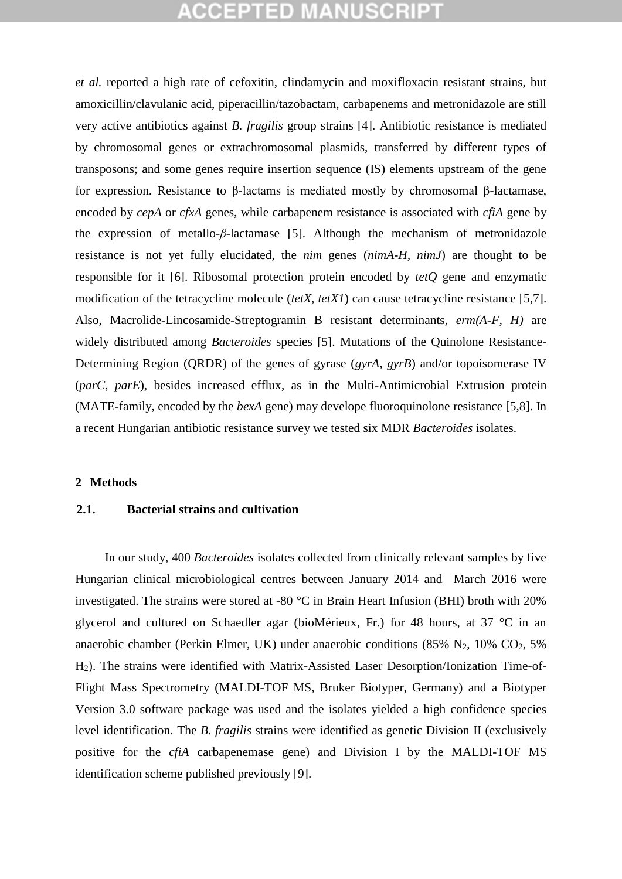### **CCEPTED MANUSCR**

*et al.* reported a high rate of cefoxitin, clindamycin and moxifloxacin resistant strains, but amoxicillin/clavulanic acid, piperacillin/tazobactam, carbapenems and metronidazole are still very active antibiotics against *B. fragilis* group strains [4]. Antibiotic resistance is mediated by chromosomal genes or extrachromosomal plasmids, transferred by different types of transposons; and some genes require insertion sequence (IS) elements upstream of the gene for expression. Resistance to β-lactams is mediated mostly by chromosomal β-lactamase, encoded by *cepA* or *cfxA* genes, while carbapenem resistance is associated with *cfiA* gene by the expression of metallo-*β*-lactamase [5]. Although the mechanism of metronidazole resistance is not yet fully elucidated, the *nim* genes (*nimA-H, nimJ*) are thought to be responsible for it [6]. Ribosomal protection protein encoded by *tetQ* gene and enzymatic modification of the tetracycline molecule (*tetX, tetX1*) can cause tetracycline resistance [5,7]. Also, Macrolide-Lincosamide-Streptogramin B resistant determinants, *erm(A-F, H)* are widely distributed among *Bacteroides* species [5]. Mutations of the Quinolone Resistance-Determining Region (QRDR) of the genes of gyrase (*gyrA, gyrB*) and/or topoisomerase IV (*parC, parE*), besides increased efflux, as in the Multi-Antimicrobial Extrusion protein (MATE-family, encoded by the *bexA* gene) may develope fluoroquinolone resistance [5,8]. In a recent Hungarian antibiotic resistance survey we tested six MDR *Bacteroides* isolates.

#### **2 Methods**

### **2.1. Bacterial strains and cultivation**

In our study, 400 *Bacteroides* isolates collected from clinically relevant samples by five Hungarian clinical microbiological centres between January 2014 and March 2016 were investigated. The strains were stored at -80 °C in Brain Heart Infusion (BHI) broth with 20% glycerol and cultured on Schaedler agar (bioMérieux, Fr.) for 48 hours, at 37 °C in an anaerobic chamber (Perkin Elmer, UK) under anaerobic conditions (85%  $N_2$ , 10%  $CO_2$ , 5% H2). The strains were identified with Matrix-Assisted Laser Desorption/Ionization Time-of-Flight Mass Spectrometry (MALDI-TOF MS, Bruker Biotyper, Germany) and a Biotyper Version 3.0 software package was used and the isolates yielded a high confidence species level identification. The *B. fragilis* strains were identified as genetic Division II (exclusively positive for the *cfiA* carbapenemase gene) and Division I by the MALDI-TOF MS identification scheme published previously [9].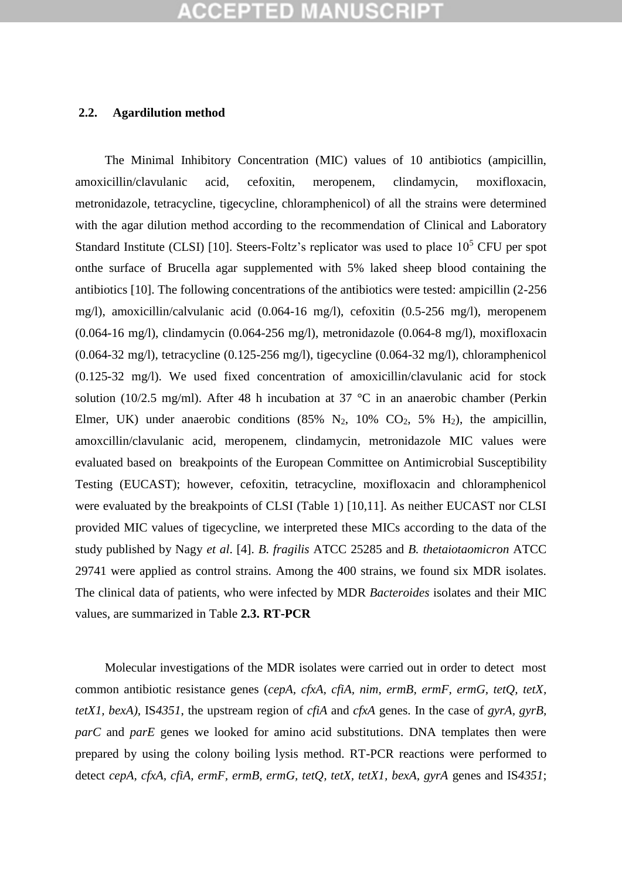### **2.2. Agardilution method**

The Minimal Inhibitory Concentration (MIC) values of 10 antibiotics (ampicillin, amoxicillin/clavulanic acid, cefoxitin, meropenem, clindamycin, moxifloxacin, metronidazole, tetracycline, tigecycline, chloramphenicol) of all the strains were determined with the agar dilution method according to the recommendation of Clinical and Laboratory Standard Institute (CLSI) [10]. Steers-Foltz's replicator was used to place 10<sup>5</sup> CFU per spot onthe surface of Brucella agar supplemented with 5% laked sheep blood containing the antibiotics [10]. The following concentrations of the antibiotics were tested: ampicillin (2-256 mg/l), amoxicillin/calvulanic acid (0.064-16 mg/l), cefoxitin (0.5-256 mg/l), meropenem (0.064-16 mg/l), clindamycin (0.064-256 mg/l), metronidazole (0.064-8 mg/l), moxifloxacin (0.064-32 mg/l), tetracycline (0.125-256 mg/l), tigecycline (0.064-32 mg/l), chloramphenicol (0.125-32 mg/l). We used fixed concentration of amoxicillin/clavulanic acid for stock solution (10/2.5 mg/ml). After 48 h incubation at 37  $\degree$ C in an anaerobic chamber (Perkin Elmer, UK) under anaerobic conditions  $(85\% \text{ N}_2, 10\% \text{ CO}_2, 5\% \text{ H}_2)$ , the ampicillin, amoxcillin/clavulanic acid, meropenem, clindamycin, metronidazole MIC values were evaluated based on breakpoints of the European Committee on Antimicrobial Susceptibility Testing (EUCAST); however, cefoxitin, tetracycline, moxifloxacin and chloramphenicol were evaluated by the breakpoints of CLSI (Table 1) [10,11]. As neither EUCAST nor CLSI provided MIC values of tigecycline, we interpreted these MICs according to the data of the study published by Nagy *et al*. [4]. *B. fragilis* ATCC 25285 and *B. thetaiotaomicron* ATCC 29741 were applied as control strains. Among the 400 strains, we found six MDR isolates. The clinical data of patients, who were infected by MDR *Bacteroides* isolates and their MIC values, are summarized in Table **2.3. RT-PCR**

Molecular investigations of the MDR isolates were carried out in order to detect most common antibiotic resistance genes (*cepA, cfxA, cfiA, nim, ermB, ermF, ermG, tetQ, tetX, tetX1, bexA),* IS*4351*, the upstream region of *cfiA* and *cfxA* genes. In the case of *gyrA, gyrB, parC* and *parE* genes we looked for amino acid substitutions. DNA templates then were prepared by using the colony boiling lysis method. RT-PCR reactions were performed to detect *cepA, cfxA, cfiA, ermF, ermB, ermG, tetQ, tetX, tetX1, bexA, gyrA genes and IS4351*;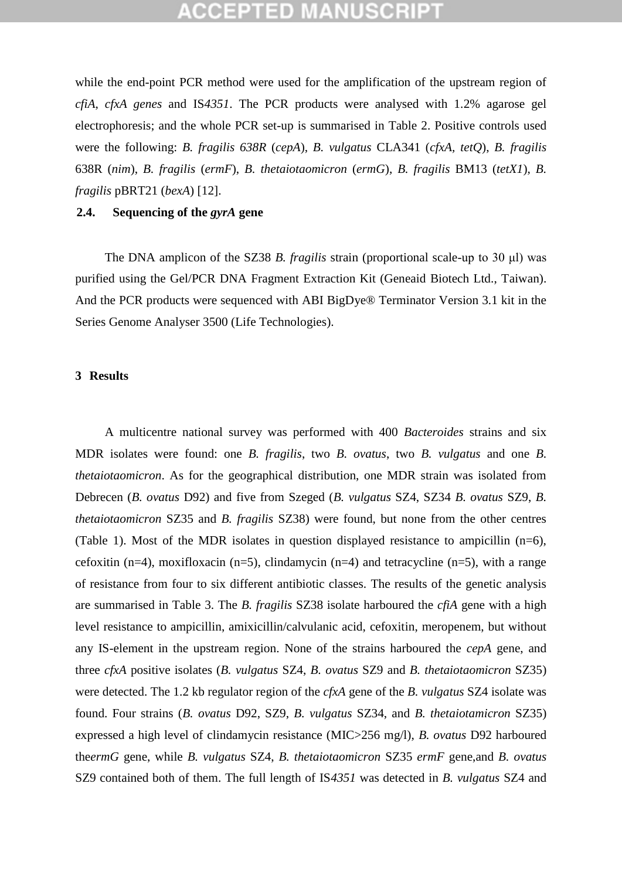### (CEPTED)

while the end-point PCR method were used for the amplification of the upstream region of *cfiA*, *cfxA genes* and IS*4351*. The PCR products were analysed with 1.2% agarose gel electrophoresis; and the whole PCR set-up is summarised in Table 2. Positive controls used were the following: *B. fragilis 638R* (*cepA*), *B. vulgatus* CLA341 (*cfxA, tetQ*), *B. fragilis* 638R (*nim*), *B. fragilis* (*ermF*), *B. thetaiotaomicron* (*ermG*), *B. fragilis* BM13 (*tetX1*), *B. fragilis* pBRT21 (*bexA*) [12].

### **2.4. Sequencing of the** *gyrA* **gene**

The DNA amplicon of the SZ38 *B. fragilis* strain (proportional scale-up to 30 μl) was purified using the Gel/PCR DNA Fragment Extraction Kit (Geneaid Biotech Ltd., Taiwan). And the PCR products were sequenced with ABI BigDye® Terminator Version 3.1 kit in the Series Genome Analyser 3500 (Life Technologies).

### **3 Results**

A multicentre national survey was performed with 400 *Bacteroides* strains and six MDR isolates were found: one *B. fragilis*, two *B. ovatus*, two *B. vulgatus* and one *B. thetaiotaomicron*. As for the geographical distribution, one MDR strain was isolated from Debrecen (*B. ovatus* D92) and five from Szeged (*B. vulgatus* SZ4, SZ34 *B. ovatus* SZ9, *B. thetaiotaomicron* SZ35 and *B. fragilis* SZ38) were found, but none from the other centres (Table 1). Most of the MDR isolates in question displayed resistance to ampicillin (n=6), cefoxitin (n=4), moxifloxacin (n=5), clindamycin (n=4) and tetracycline (n=5), with a range of resistance from four to six different antibiotic classes. The results of the genetic analysis are summarised in Table 3. The *B. fragilis* SZ38 isolate harboured the *cfiA* gene with a high level resistance to ampicillin, amixicillin/calvulanic acid, cefoxitin, meropenem, but without any IS-element in the upstream region. None of the strains harboured the *cepA* gene, and three *cfxA* positive isolates (*B. vulgatus* SZ4, *B. ovatus* SZ9 and *B. thetaiotaomicron* SZ35) were detected. The 1.2 kb regulator region of the *cfxA* gene of the *B. vulgatus* SZ4 isolate was found. Four strains (*B. ovatus* D92, SZ9, *B. vulgatus* SZ34, and *B. thetaiotamicron* SZ35) expressed a high level of clindamycin resistance (MIC>256 mg/l), *B. ovatus* D92 harboured the*ermG* gene, while *B. vulgatus* SZ4, *B. thetaiotaomicron* SZ35 *ermF* gene,and *B. ovatus*  SZ9 contained both of them. The full length of IS*4351* was detected in *B. vulgatus* SZ4 and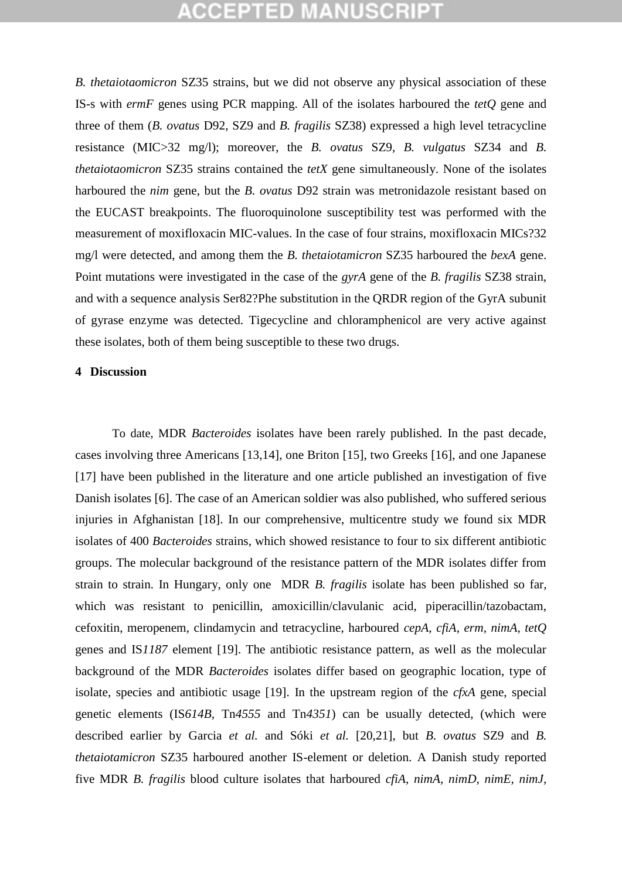### **:CEPTED MANUSCR**

*B. thetaiotaomicron* SZ35 strains, but we did not observe any physical association of these IS-s with *ermF* genes using PCR mapping. All of the isolates harboured the *tetQ* gene and three of them (*B. ovatus* D92, SZ9 and *B. fragilis* SZ38) expressed a high level tetracycline resistance (MIC>32 mg/l); moreover, the *B. ovatus* SZ9, *B. vulgatus* SZ34 and *B. thetaiotaomicron* SZ35 strains contained the *tetX* gene simultaneously. None of the isolates harboured the *nim* gene, but the *B. ovatus* D92 strain was metronidazole resistant based on the EUCAST breakpoints. The fluoroquinolone susceptibility test was performed with the measurement of moxifloxacin MIC-values. In the case of four strains, moxifloxacin MICs?32 mg/l were detected, and among them the *B. thetaiotamicron* SZ35 harboured the *bexA* gene. Point mutations were investigated in the case of the *gyrA* gene of the *B. fragilis* SZ38 strain, and with a sequence analysis Ser82?Phe substitution in the QRDR region of the GyrA subunit of gyrase enzyme was detected. Tigecycline and chloramphenicol are very active against these isolates, both of them being susceptible to these two drugs.

#### **4 Discussion**

To date, MDR *Bacteroides* isolates have been rarely published. In the past decade, cases involving three Americans [13,14], one Briton [15], two Greeks [16], and one Japanese [17] have been published in the literature and one article published an investigation of five Danish isolates [6]. The case of an American soldier was also published, who suffered serious injuries in Afghanistan [18]. In our comprehensive, multicentre study we found six MDR isolates of 400 *Bacteroides* strains, which showed resistance to four to six different antibiotic groups. The molecular background of the resistance pattern of the MDR isolates differ from strain to strain. In Hungary, only one MDR *B. fragilis* isolate has been published so far, which was resistant to penicillin, amoxicillin/clavulanic acid, piperacillin/tazobactam, cefoxitin, meropenem, clindamycin and tetracycline, harboured *cepA, cfiA, erm, nimA, tetQ*  genes and IS*1187* element [19]. The antibiotic resistance pattern, as well as the molecular background of the MDR *Bacteroides* isolates differ based on geographic location, type of isolate, species and antibiotic usage [19]. In the upstream region of the *cfxA* gene, special genetic elements (IS*614B*, Tn*4555* and Tn*4351*) can be usually detected, (which were described earlier by Garcia *et al.* and Sóki *et al.* [20,21], but *B. ovatus* SZ9 and *B. thetaiotamicron* SZ35 harboured another IS-element or deletion. A Danish study reported five MDR *B. fragilis* blood culture isolates that harboured *cfiA, nimA, nimD, nimE, nimJ,*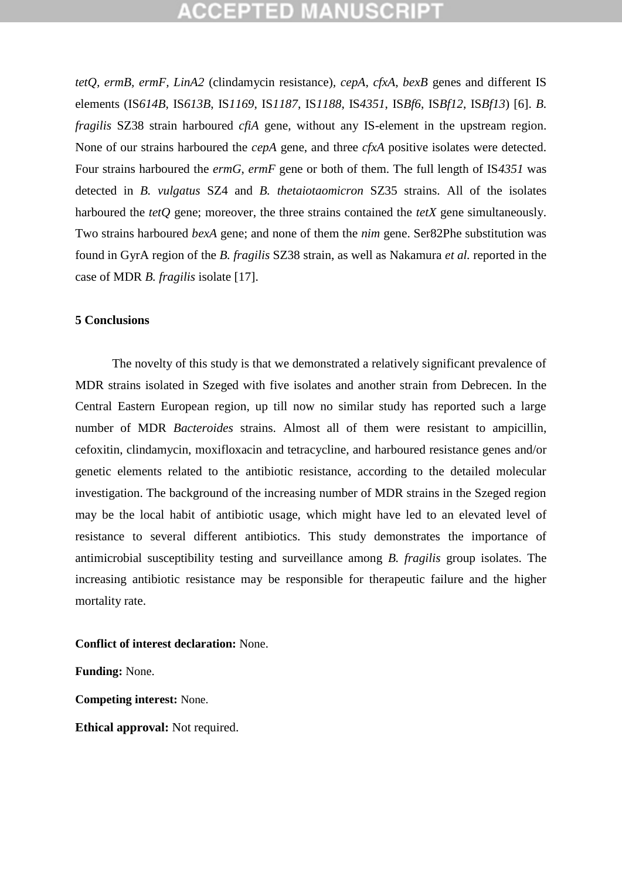### **CCEPTED MANUSCR**

*tetQ, ermB, ermF, LinA2* (clindamycin resistance)*, cepA, cfxA, bexB* genes and different IS elements (IS*614B*, IS*613B*, IS*1169*, IS*1187*, IS*1188*, IS*4351*, IS*Bf6*, IS*Bf12*, IS*Bf13*) [6]. *B. fragilis* SZ38 strain harboured *cfiA* gene, without any IS-element in the upstream region. None of our strains harboured the *cepA* gene, and three *cfxA* positive isolates were detected. Four strains harboured the *ermG*, *ermF* gene or both of them. The full length of IS*4351* was detected in *B. vulgatus* SZ4 and *B. thetaiotaomicron* SZ35 strains. All of the isolates harboured the *tetQ* gene; moreover, the three strains contained the *tetX* gene simultaneously. Two strains harboured *bexA* gene; and none of them the *nim* gene. Ser82Phe substitution was found in GyrA region of the *B. fragilis* SZ38 strain, as well as Nakamura *et al.* reported in the case of MDR *B. fragilis* isolate [17].

### **5 Conclusions**

The novelty of this study is that we demonstrated a relatively significant prevalence of MDR strains isolated in Szeged with five isolates and another strain from Debrecen. In the Central Eastern European region, up till now no similar study has reported such a large number of MDR *Bacteroides* strains. Almost all of them were resistant to ampicillin, cefoxitin, clindamycin, moxifloxacin and tetracycline, and harboured resistance genes and/or genetic elements related to the antibiotic resistance, according to the detailed molecular investigation. The background of the increasing number of MDR strains in the Szeged region may be the local habit of antibiotic usage, which might have led to an elevated level of resistance to several different antibiotics. This study demonstrates the importance of antimicrobial susceptibility testing and surveillance among *B. fragilis* group isolates. The increasing antibiotic resistance may be responsible for therapeutic failure and the higher mortality rate.

#### **Conflict of interest declaration:** None.

**Funding:** None.

**Competing interest:** None.

**Ethical approval:** Not required.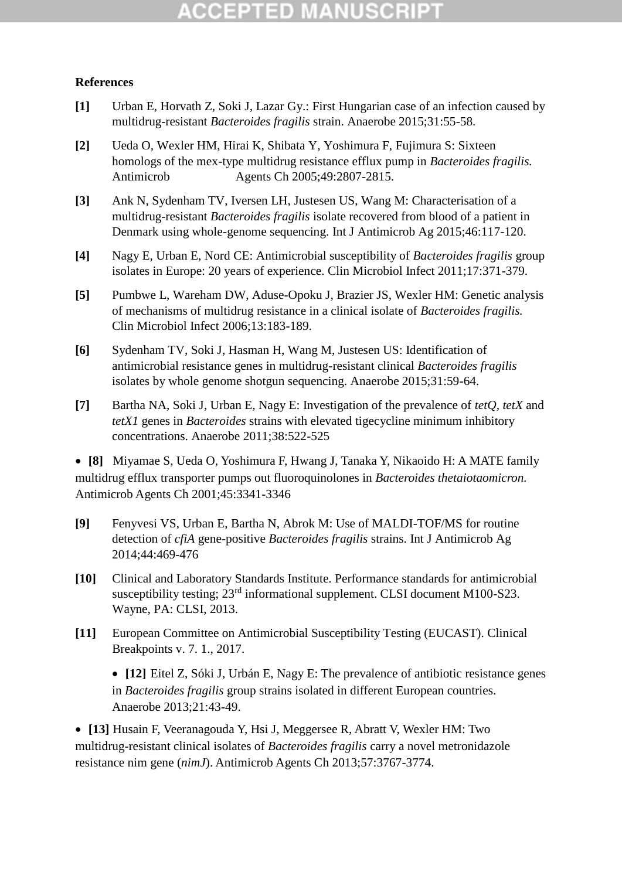### **References**

- **[1]** Urban E, Horvath Z, Soki J, Lazar Gy.: First Hungarian case of an infection caused by multidrug-resistant *Bacteroides fragilis* strain. Anaerobe 2015;31:55-58.
- **[2]** Ueda O, Wexler HM, Hirai K, Shibata Y, Yoshimura F, Fujimura S: Sixteen homologs of the mex-type multidrug resistance efflux pump in *Bacteroides fragilis.* Antimicrob Agents Ch 2005;49:2807-2815.
- **[3]** Ank N, Sydenham TV, Iversen LH, Justesen US, Wang M: Characterisation of a multidrug-resistant *Bacteroides fragilis* isolate recovered from blood of a patient in Denmark using whole-genome sequencing. Int J Antimicrob Ag 2015;46:117-120.
- **[4]** Nagy E, Urban E, Nord CE: Antimicrobial susceptibility of *Bacteroides fragilis* group isolates in Europe: 20 years of experience. Clin Microbiol Infect 2011;17:371-379.
- **[5]** Pumbwe L, Wareham DW, Aduse-Opoku J, Brazier JS, Wexler HM: Genetic analysis of mechanisms of multidrug resistance in a clinical isolate of *Bacteroides fragilis.*  Clin Microbiol Infect 2006;13:183-189.
- **[6]** Sydenham TV, Soki J, Hasman H, Wang M, Justesen US: Identification of antimicrobial resistance genes in multidrug-resistant clinical *Bacteroides fragilis* isolates by whole genome shotgun sequencing. Anaerobe 2015;31:59-64.
- **[7]** Bartha NA, Soki J, Urban E, Nagy E: Investigation of the prevalence of *tetQ, tetX* and *tetX1* genes in *Bacteroides* strains with elevated tigecycline minimum inhibitory concentrations. Anaerobe 2011;38:522-525

 **[8]** Miyamae S, Ueda O, Yoshimura F, Hwang J, Tanaka Y, Nikaoido H: A MATE family multidrug efflux transporter pumps out fluoroquinolones in *Bacteroides thetaiotaomicron.* Antimicrob Agents Ch 2001;45:3341-3346

- **[9]** Fenyvesi VS, Urban E, Bartha N, Abrok M: Use of MALDI-TOF/MS for routine detection of *cfiA* gene-positive *Bacteroides fragilis* strains. Int J Antimicrob Ag 2014;44:469-476
- **[10]** Clinical and Laboratory Standards Institute. Performance standards for antimicrobial susceptibility testing;  $23<sup>rd</sup>$  informational supplement. CLSI document M100-S23. Wayne, PA: CLSI, 2013.
- **[11]** European Committee on Antimicrobial Susceptibility Testing (EUCAST). Clinical Breakpoints v. 7. 1., 2017.

 **[12]** Eitel Z, Sóki J, Urbán E, Nagy E: The prevalence of antibiotic resistance genes in *Bacteroides fragilis* group strains isolated in different European countries. Anaerobe 2013;21:43-49.

 **[13]** Husain F, Veeranagouda Y, Hsi J, Meggersee R, Abratt V, Wexler HM: Two multidrug-resistant clinical isolates of *Bacteroides fragilis* carry a novel metronidazole resistance nim gene (*nimJ*). Antimicrob Agents Ch 2013;57:3767-3774.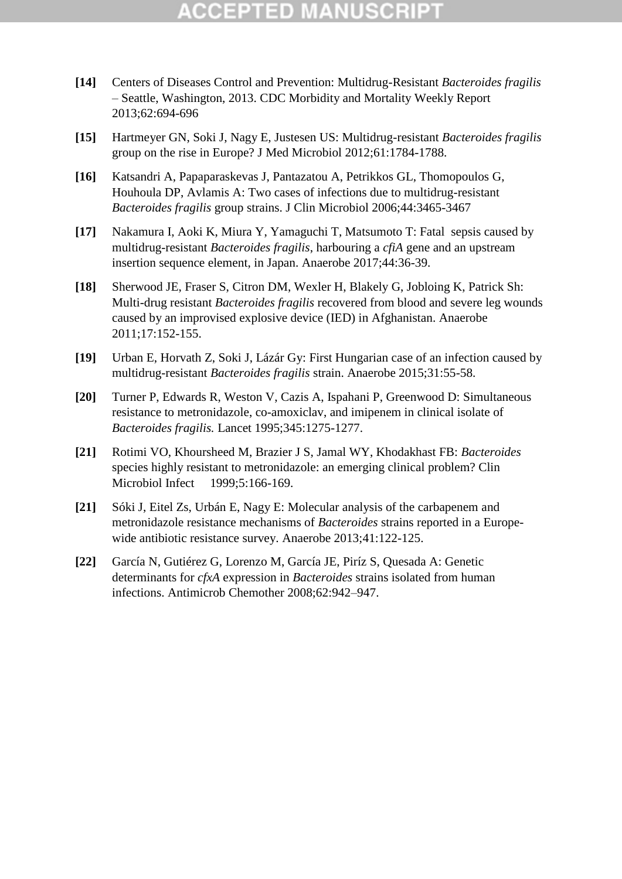- **[14]** Centers of Diseases Control and Prevention: Multidrug-Resistant *Bacteroides fragilis* – Seattle, Washington, 2013. CDC Morbidity and Mortality Weekly Report 2013;62:694-696
- **[15]** Hartmeyer GN, Soki J, Nagy E, Justesen US: Multidrug-resistant *Bacteroides fragilis* group on the rise in Europe? J Med Microbiol 2012;61:1784-1788.
- **[16]** Katsandri A, Papaparaskevas J, Pantazatou A, Petrikkos GL, Thomopoulos G, Houhoula DP, Avlamis A: Two cases of infections due to multidrug-resistant *Bacteroides fragilis* group strains. J Clin Microbiol 2006;44:3465-3467
- **[17]** Nakamura I, Aoki K, Miura Y, Yamaguchi T, Matsumoto T: Fatal sepsis caused by multidrug-resistant *Bacteroides fragilis*, harbouring a *cfiA* gene and an upstream insertion sequence element, in Japan. Anaerobe 2017;44:36-39.
- **[18]** Sherwood JE, Fraser S, Citron DM, Wexler H, Blakely G, Jobloing K, Patrick Sh: Multi-drug resistant *Bacteroides fragilis* recovered from blood and severe leg wounds caused by an improvised explosive device (IED) in Afghanistan. Anaerobe 2011;17:152-155.
- **[19]** Urban E, Horvath Z, Soki J, Lázár Gy: First Hungarian case of an infection caused by multidrug-resistant *Bacteroides fragilis* strain. Anaerobe 2015;31:55-58.
- **[20]** Turner P, Edwards R, Weston V, Cazis A, Ispahani P, Greenwood D: Simultaneous resistance to metronidazole, co-amoxiclav, and imipenem in clinical isolate of *Bacteroides fragilis.* Lancet 1995;345:1275-1277.
- **[21]** Rotimi VO, Khoursheed M, Brazier J S, Jamal WY, Khodakhast FB: *Bacteroides*  species highly resistant to metronidazole: an emerging clinical problem? Clin Microbiol Infect 1999;5:166-169.
- **[21]** Sóki J, Eitel Zs, Urbán E, Nagy E: Molecular analysis of the carbapenem and metronidazole resistance mechanisms of *Bacteroides* strains reported in a Europewide antibiotic resistance survey. Anaerobe 2013;41:122-125.
- **[22]** García N, Gutiérez G, Lorenzo M, García JE, Piríz S, Quesada A: Genetic determinants for *cfxA* expression in *Bacteroides* strains isolated from human infections. Antimicrob Chemother 2008;62:942–947.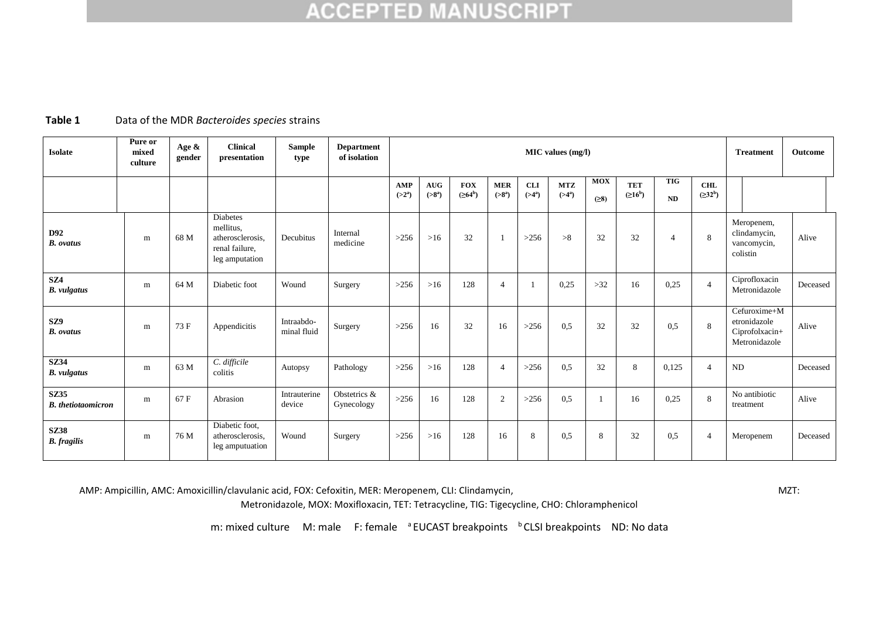### **Table 1** Data of the MDR *Bacteroides species* strains

| <b>Isolate</b>                           | Pure or<br>mixed<br>culture | Age &<br>gender | <b>Clinical</b><br>presentation                                                      | <b>Sample</b><br>type     | <b>Department</b><br>of isolation | MIC values (mg/l) |                  |                             |                         |                         |                         |                    |                                   | <b>Treatment</b> | Outcome                     |                                                                 |          |
|------------------------------------------|-----------------------------|-----------------|--------------------------------------------------------------------------------------|---------------------------|-----------------------------------|-------------------|------------------|-----------------------------|-------------------------|-------------------------|-------------------------|--------------------|-----------------------------------|------------------|-----------------------------|-----------------------------------------------------------------|----------|
|                                          |                             |                 |                                                                                      |                           |                                   | AMP<br>$(>2^a)$   | AUG<br>$( >8^a)$ | <b>FOX</b><br>$( \ge 64^b)$ | <b>MER</b><br>$( >8^a)$ | <b>CLI</b><br>$( >4^a)$ | <b>MTZ</b><br>$( >4^a)$ | <b>MOX</b><br>(28) | <b>TET</b><br>(≥16 <sup>b</sup> ) | <b>TIG</b><br>ND | <b>CHL</b><br>$( \ge 32^b)$ |                                                                 |          |
| D92<br><b>B.</b> ovatus                  | m                           | 68 M            | <b>Diabetes</b><br>mellitus.<br>atherosclerosis.<br>renal failure,<br>leg amputation | Decubitus                 | Internal<br>medicine              | $>256$            | $>16$            | 32                          | $\overline{1}$          | >256                    | >8                      | 32                 | 32                                | $\overline{4}$   | 8                           | Meropenem,<br>clindamycin,<br>vancomycin,<br>colistin           | Alive    |
| SZ4<br><b>B.</b> vulgatus                | m                           | 64 M            | Diabetic foot                                                                        | Wound                     | Surgery                           | $>256$            | $>16$            | 128                         | $\overline{4}$          |                         | 0,25                    | $>32$              | 16                                | 0,25             | $\overline{4}$              | Ciprofloxacin<br>Metronidazole                                  | Deceased |
| SZ9<br><b>B.</b> ovatus                  | m                           | 73 F            | Appendicitis                                                                         | Intraabdo-<br>minal fluid | Surgery                           | >256              | 16               | 32                          | 16                      | >256                    | 0.5                     | 32                 | 32                                | 0,5              | 8                           | Cefuroxime+M<br>etronidazole<br>Ciprofolxacin+<br>Metronidazole | Alive    |
| <b>SZ34</b><br><b>B.</b> vulgatus        | m                           | 63 M            | C. difficile<br>colitis                                                              | Autopsy                   | Pathology                         | $>256$            | $>16$            | 128                         | $\overline{4}$          | >256                    | 0,5                     | 32                 | 8                                 | 0.125            | $\overline{4}$              | <b>ND</b>                                                       | Deceased |
| <b>SZ35</b><br><b>B.</b> thetiotaomicron | m                           | 67 F            | Abrasion                                                                             | Intrauterine<br>device    | Obstetrics &<br>Gynecology        | $>256$            | 16               | 128                         | $\overline{2}$          | >256                    | 0,5                     |                    | 16                                | 0,25             | 8                           | No antibiotic<br>treatment                                      | Alive    |
| <b>SZ38</b><br><b>B.</b> fragilis        | m                           | 76 M            | Diabetic foot,<br>atherosclerosis.<br>leg amputuation                                | Wound                     | Surgery                           | >256              | $>16$            | 128                         | 16                      | 8                       | 0,5                     | 8                  | 32                                | 0,5              | $\overline{4}$              | Meropenem                                                       | Deceased |

AMP: Ampicillin, AMC: Amoxicillin/clavulanic acid, FOX: Cefoxitin, MER: Meropenem, CLI: Clindamycin, MET: MET:

Metronidazole, MOX: Moxifloxacin, TET: Tetracycline, TIG: Tigecycline, CHO: Chloramphenicol

m: mixed culture M: male F: female <sup>a</sup> EUCAST breakpoints <sup>b</sup> CLSI breakpoints ND: No data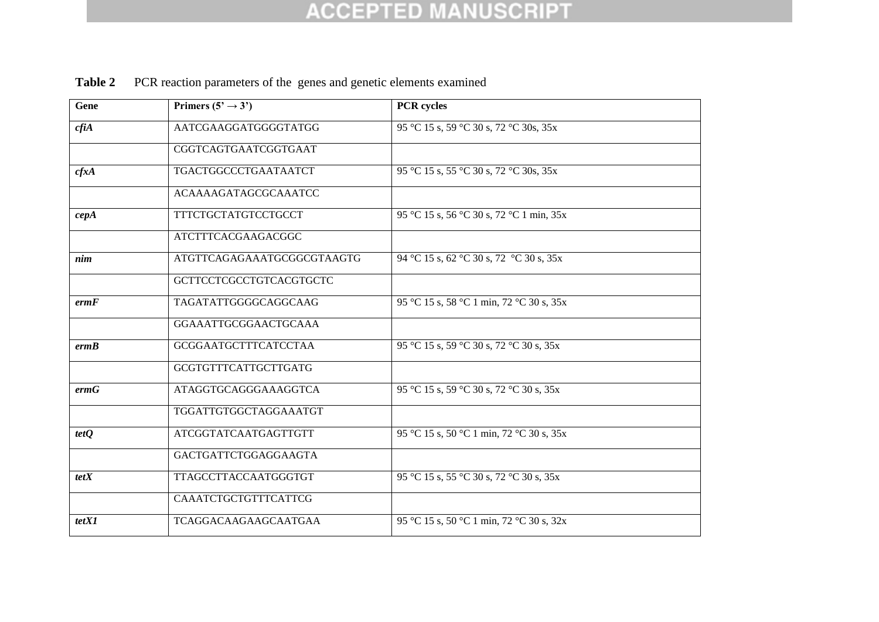| Gene  | Primers $(5, 3)$            | <b>PCR</b> cycles                        |
|-------|-----------------------------|------------------------------------------|
| cfiA  | AATCGAAGGATGGGGTATGG        | 95 °C 15 s, 59 °C 30 s, 72 °C 30s, 35x   |
|       | CGGTCAGTGAATCGGTGAAT        |                                          |
| cfxA  | TGACTGGCCCTGAATAATCT        | 95 °C 15 s, 55 °C 30 s, 72 °C 30s, 35x   |
|       | <b>ACAAAAGATAGCGCAAATCC</b> |                                          |
| cepA  | <b>TTTCTGCTATGTCCTGCCT</b>  | 95 °C 15 s, 56 °C 30 s, 72 °C 1 min, 35x |
|       | <b>ATCTTTCACGAAGACGGC</b>   |                                          |
| nim   | ATGTTCAGAGAAATGCGGCGTAAGTG  | 94 °C 15 s, 62 °C 30 s, 72 °C 30 s, 35x  |
|       | GCTTCCTCGCCTGTCACGTGCTC     |                                          |
| ermF  | TAGATATTGGGGCAGGCAAG        | 95 °C 15 s, 58 °C 1 min, 72 °C 30 s, 35x |
|       | GGAAATTGCGGAACTGCAAA        |                                          |
| ermB  | <b>GCGGAATGCTTTCATCCTAA</b> | 95 °C 15 s, 59 °C 30 s, 72 °C 30 s, 35x  |
|       | GCGTGTTTCATTGCTTGATG        |                                          |
| ermG  | ATAGGTGCAGGGAAAGGTCA        | 95 °C 15 s, 59 °C 30 s, 72 °C 30 s, 35x  |
|       | TGGATTGTGGCTAGGAAATGT       |                                          |
| tetQ  | <b>ATCGGTATCAATGAGTTGTT</b> | 95 °C 15 s, 50 °C 1 min, 72 °C 30 s, 35x |
|       | GACTGATTCTGGAGGAAGTA        |                                          |
| tetX  | TTAGCCTTACCAATGGGTGT        | 95 °C 15 s, 55 °C 30 s, 72 °C 30 s, 35x  |
|       | CAAATCTGCTGTTTCATTCG        |                                          |
| tetX1 | TCAGGACAAGAAGCAATGAA        | 95 °C 15 s, 50 °C 1 min, 72 °C 30 s, 32x |

**Table 2** PCR reaction parameters of the genes and genetic elements examined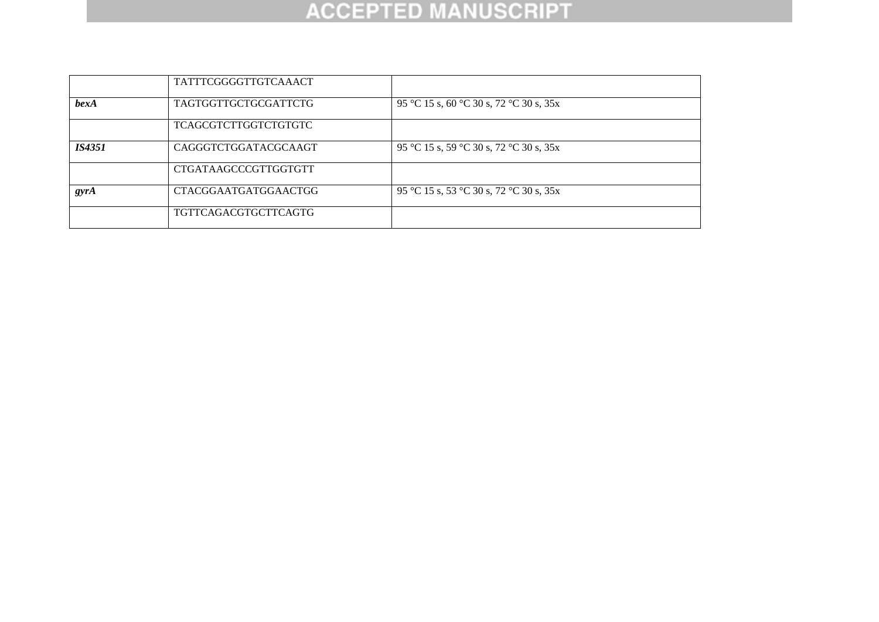|               | <b>TATTTCGGGGTTGTCAAACT</b> |                                         |
|---------------|-----------------------------|-----------------------------------------|
| bexA          | TAGTGGTTGCTGCGATTCTG        | 95 °C 15 s, 60 °C 30 s, 72 °C 30 s, 35x |
|               | TCAGCGTCTTGGTCTGTGTC        |                                         |
| <i>IS4351</i> | CAGGGTCTGGATACGCAAGT        | 95 °C 15 s, 59 °C 30 s, 72 °C 30 s, 35x |
|               | CTGATAAGCCCGTTGGTGTT        |                                         |
| gyrA          | CTACGGAATGATGGAACTGG        | 95 °C 15 s, 53 °C 30 s, 72 °C 30 s, 35x |
|               | TGTTCAGACGTGCTTCAGTG        |                                         |